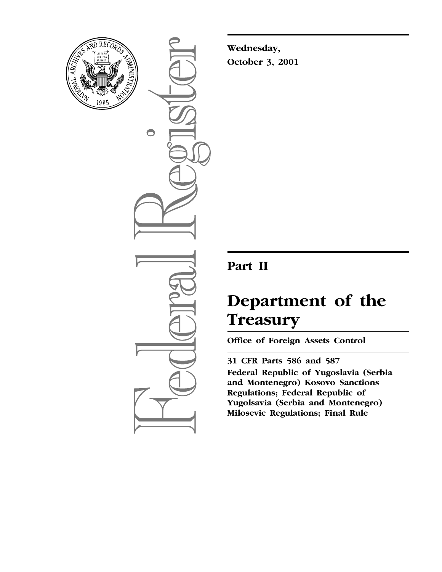

 $\bigcirc$ 

**Wednesday, October 3, 2001**

# **Part II**

# **Department of the Treasury**

**Office of Foreign Assets Control**

**31 CFR Parts 586 and 587 Federal Republic of Yugoslavia (Serbia and Montenegro) Kosovo Sanctions Regulations; Federal Republic of Yugolsavia (Serbia and Montenegro) Milosevic Regulations; Final Rule**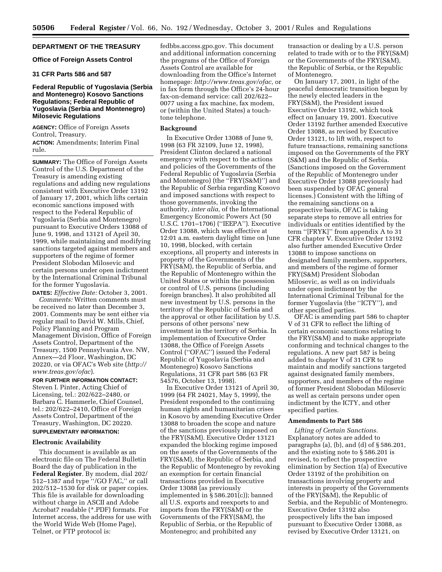# **DEPARTMENT OF THE TREASURY**

#### **Office of Foreign Assets Control**

# **31 CFR Parts 586 and 587**

# **Federal Republic of Yugoslavia (Serbia and Montenegro) Kosovo Sanctions Regulations; Federal Republic of Yugoslavia (Serbia and Montenegro) Milosevic Regulations**

**AGENCY:** Office of Foreign Assets Control, Treasury.

**ACTION:** Amendments; Interim Final rule.

**SUMMARY:** The Office of Foreign Assets Control of the U.S. Department of the Treasury is amending existing regulations and adding new regulations consistent with Executive Order 13192 of January 17, 2001, which lifts certain economic sanctions imposed with respect to the Federal Republic of Yugoslavia (Serbia and Montenegro) pursuant to Executive Orders 13088 of June 9, 1998, and 13121 of April 30, 1999, while maintaining and modifying sanctions targeted against members and supporters of the regime of former President Slobodan Milosevic and certain persons under open indictment by the International Criminal Tribunal for the former Yugoslavia.

**DATES:** *Effective Date:* October 3, 2001. *Comments:* Written comments must be received no later than December 3, 2001. Comments may be sent either via regular mail to David W. Mills, Chief, Policy Planning and Program Management Division, Office of Foreign Assets Control, Department of the Treasury, 1500 Pennsylvania Ave. NW, Annex—2d Floor, Washington, DC 20220, or via OFAC's Web site (*http:// www.treas.gov/ofac*).

**FOR FURTHER INFORMATION CONTACT:** Steven I. Pinter, Acting Chief of Licensing, tel.: 202/622–2480, or Barbara C. Hammerle, Chief Counsel, tel.: 202/622–2410, Office of Foreign Assets Control, Department of the Treasury, Washington, DC 20220. **SUPPLEMENTARY INFORMATION:**

#### **Electronic Availability**

This document is available as an electronic file on The Federal Bulletin Board the day of publication in the **Federal Register**. By modem, dial 202/ 512–1387 and type ''/GO FAC,'' or call 202/512–1530 for disk or paper copies. This file is available for downloading without charge in ASCII and Adobe Acrobat7 readable (\*.PDF) formats. For Internet access, the address for use with the World Wide Web (Home Page), Telnet, or FTP protocol is:

fedbbs.access.gpo.gov. This document and additional information concerning the programs of the Office of Foreign Assets Control are available for downloading from the Office's Internet homepage: *http://www.treas.gov/ofac,* or in fax form through the Office's 24-hour fax-on-demand service: call 202/622– 0077 using a fax machine, fax modem, or (within the United States) a touchtone telephone.

# **Background**

In Executive Order 13088 of June 9, 1998 (63 FR 32109, June 12, 1998), President Clinton declared a national emergency with respect to the actions and policies of the Governments of the Federal Republic of Yugoslavia (Serbia and Montenegro) (the ''FRY(S&M)'') and the Republic of Serbia regarding Kosovo and imposed sanctions with respect to those governments, invoking the authority, *inter alia,* of the International Emergency Economic Powers Act (50 U.S.C. 1701–1706) (''IEEPA''). Executive Order 13088, which was effective at 12:01 a.m. eastern daylight time on June 10, 1998, blocked, with certain exceptions, all property and interests in property of the Governments of the FRY(S&M), the Republic of Serbia, and the Republic of Montenegro within the United States or within the possession or control of U.S. persons (including foreign branches). It also prohibited all new investment by U.S. persons in the territory of the Republic of Serbia and the approval or other facilitation by U.S. persons of other persons' new investment in the territory of Serbia. In implementation of Executive Order 13088, the Office of Foreign Assets Control (''OFAC'') issued the Federal Republic of Yugoslavia (Serbia and Montenegro) Kosovo Sanctions Regulations, 31 CFR part 586 (63 FR 54576, October 13, 1998).

In Executive Order 13121 of April 30, 1999 (64 FR 24021, May 5, 1999), the President responded to the continuing human rights and humanitarian crises in Kosovo by amending Executive Order 13088 to broaden the scope and nature of the sanctions previously imposed on the FRY(S&M). Executive Order 13121 expanded the blocking regime imposed on the assets of the Governments of the FRY(S&M), the Republic of Serbia, and the Republic of Montenegro by revoking an exemption for certain financial transactions provided in Executive Order 13088 (as previously implemented in  $\S 586.201(c)$ ; banned all U.S. exports and reexports to and imports from the FRY(S&M) or the Governments of the FRY(S&M), the Republic of Serbia, or the Republic of Montenegro; and prohibited any

transaction or dealing by a U.S. person related to trade with or to the FRY(S&M) or the Governments of the FRY(S&M), the Republic of Serbia, or the Republic of Montenegro.

On January 17, 2001, in light of the peaceful democratic transition begun by the newly elected leaders in the FRY(S&M), the President issued Executive Order 13192, which took effect on January 19, 2001. Executive Order 13192 further amended Executive Order 13088, as revised by Executive Order 13121, to lift with, respect to future transactions, remaining sanctions imposed on the Governments of the FRY (S&M) and the Republic of Serbia. (Sanctions imposed on the Government of the Republic of Montenegro under Executive Order 13088 previously had been suspended by OFAC general licenses.) Consistent with the lifting of the remaining sanctions on a prospective basis, OFAC is taking separate steps to remove all entries for individuals or entities identified by the term ''[FRYK]'' from appendix A to 31 CFR chapter V. Executive Order 13192 also further amended Executive Order 13088 to impose sanctions on designated family members, supporters, and members of the regime of former FRY(S&M) President Slobodan Milosevic, as well as on individuals under open indictment by the International Criminal Tribunal for the former Yugoslavia (the ''ICTY''), and other specified parties.

OFAC is amending part 586 to chapter V of 31 CFR to reflect the lifting of certain economic sanctions relating to the FRY(S&M) and to make appropriate conforming and technical changes to the regulations. A new part 587 is being added to chapter V of 31 CFR to maintain and modify sanctions targeted against designated family members, supporters, and members of the regime of former President Slobodan Milosevic as well as certain persons under open indictment by the ICTY, and other specified parties.

#### **Amendments to Part 586**

*Lifting of Certain Sanctions.* Explanatory notes are added to paragraphs (a), (b), and (d) of § 586.201, and the existing note to § 586.201 is revised, to reflect the prospective elimination by Section 1(a) of Executive Order 13192 of the prohibition on transactions involving property and interests in property of the Governments of the FRY(S&M), the Republic of Serbia, and the Republic of Montenegro. Executive Order 13192 also prospectively lifts the ban imposed pursuant to Executive Order 13088, as revised by Executive Order 13121, on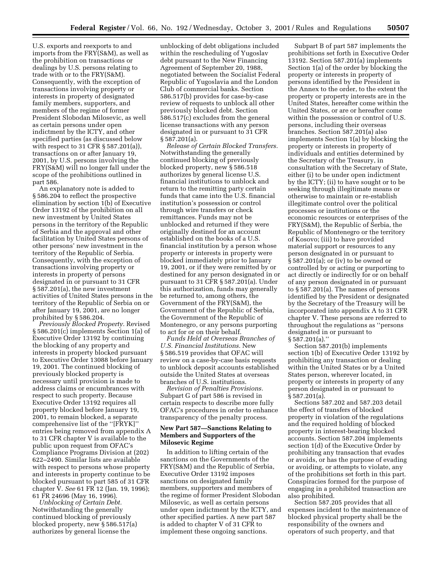U.S. exports and reexports to and imports from the FRY(S&M), as well as the prohibition on transactions or dealings by U.S. persons relating to trade with or to the FRY(S&M). Consequently, with the exception of transactions involving property or interests in property of designated family members, supporters, and members of the regime of former President Slobodan Milosevic, as well as certain persons under open indictment by the ICTY, and other specified parties (as discussed below with respect to 31 CFR § 587.201(a)), transactions on or after January 19, 2001, by U.S. persons involving the FRY(S&M) will no longer fall under the scope of the prohibitions outlined in part 586.

An explanatory note is added to § 586.204 to reflect the prospective elimination by section 1(b) of Executive Order 13192 of the prohibition on all new investment by United States persons in the territory of the Republic of Serbia and the approval and other facilitation by United States persons of other persons' new investment in the territory of the Republic of Serbia. Consequently, with the exception of transactions involving property or interests in property of persons designated in or pursuant to 31 CFR § 587.201(a), the new investment activities of United States persons in the territory of the Republic of Serbia on or after January 19, 2001, are no longer prohibited by § 586.204.

*Previously Blocked Property.* Revised § 586.201(c) implements Section 1(a) of Executive Order 13192 by continuing the blocking of any property and interests in property blocked pursuant to Executive Order 13088 before January 19, 2001. The continued blocking of previously blocked property is necessary until provision is made to address claims or encumbrances with respect to such property. Because Executive Order 13192 requires all property blocked before January 19, 2001, to remain blocked, a separate comprehensive list of the ''[FRYK]'' entries being removed from appendix A to 31 CFR chapter V is available to the public upon request from OFAC's Compliance Programs Division at (202) 622–2490. Similar lists are available with respect to persons whose property and interests in property continue to be blocked pursuant to part 585 of 31 CFR chapter V. *See* 61 FR 12 (Jan. 19, 1996); 61 FR 24696 (May 16, 1996).

*Unblocking of Certain Debt.* Notwithstanding the generally continued blocking of previously blocked property, new § 586.517(a) authorizes by general license the

unblocking of debt obligations included within the rescheduling of Yugoslav debt pursuant to the New Financing Agreement of September 20, 1988, negotiated between the Socialist Federal Republic of Yugoslavia and the London Club of commercial banks. Section 586.517(b) provides for case-by-case review of requests to unblock all other previously blocked debt. Section 586.517(c) excludes from the general license transactions with any person designated in or pursuant to 31 CFR § 587.201(a).

*Release of Certain Blocked Transfers.* Notwithstanding the generally continued blocking of previously blocked property, new § 586.518 authorizes by general license U.S. financial institutions to unblock and return to the remitting party certain funds that came into the U.S. financial institution's possession or control through wire transfers or check remittances. Funds may not be unblocked and returned if they were originally destined for an account established on the books of a U.S. financial institution by a person whose property or interests in property were blocked immediately prior to January 19, 2001, or if they were remitted by or destined for any person designated in or pursuant to 31 CFR § 587.201(a). Under this authorization, funds may generally be returned to, among others, the Government of the FRY(S&M), the Government of the Republic of Serbia, the Government of the Republic of Montenegro, or any persons purporting to act for or on their behalf.

*Funds Held at Overseas Branches of U.S. Financial Institutions.* New § 586.519 provides that OFAC will review on a case-by-case basis requests to unblock deposit accounts established outside the United States at overseas branches of U.S. institutions.

*Revision of Penalties Provisions.* Subpart G of part 586 is revised in certain respects to describe more fully OFAC's procedures in order to enhance transparency of the penalty process.

# **New Part 587—Sanctions Relating to Members and Supporters of the Milosevic Regime**

In addition to lifting certain of the sanctions on the Governments of the FRY(S&M) and the Republic of Serbia, Executive Order 13192 imposes sanctions on designated family members, supporters and members of the regime of former President Slobodan Milosevic, as well as certain persons under open indictment by the ICTY, and other specified parties. A new part 587 is added to chapter V of 31 CFR to implement these ongoing sanctions.

Subpart B of part 587 implements the prohibitions set forth in Executive Order 13192. Section 587.201(a) implements Section 1(a) of the order by blocking the property or interests in property of persons identified by the President in the Annex to the order, to the extent the property or property interests are in the United States, hereafter come within the United States, or are or hereafter come within the possession or control of U.S. persons, including their overseas branches. Section 587.201(a) also implements Section 1(a) by blocking the property or interests in property of individuals and entities determined by the Secretary of the Treasury, in consultation with the Secretary of State, either (i) to be under open indictment by the ICTY; (ii) to have sought or to be seeking through illegitimate means or otherwise to maintain or re-establish illegitimate control over the political processes or institutions or the economic resources or enterprises of the FRY(S&M), the Republic of Serbia, the Republic of Montenegro or the territory of Kosovo; (iii) to have provided material support or resources to any person designated in or pursuant to § 587.201(a); or (iv) to be owned or controlled by or acting or purporting to act directly or indirectly for or on behalf of any person designated in or pursuant to § 587.201(a). The names of persons identified by the President or designated by the Secretary of the Treasury will be incorporated into appendix A to 31 CFR chapter V. These persons are referred to throughout the regulations as ''persons designated in or pursuant to § 587.201(a).'

Section 587.201(b) implements section 1(b) of Executive Order 13192 by prohibiting any transaction or dealing within the United States or by a United States person, wherever located, in property or interests in property of any person designated in or pursuant to § 587.201(a).

Sections 587.202 and 587.203 detail the effect of transfers of blocked property in violation of the regulations and the required holding of blocked property in interest-bearing blocked accounts. Section 587.204 implements section 1(d) of the Executive Order by prohibiting any transaction that evades or avoids, or has the purpose of evading or avoiding, or attempts to violate, any of the prohibitions set forth in this part. Conspiracies formed for the purpose of engaging in a prohibited transaction are also prohibited.

Section 587.205 provides that all expenses incident to the maintenance of blocked physical property shall be the responsibility of the owners and operators of such property, and that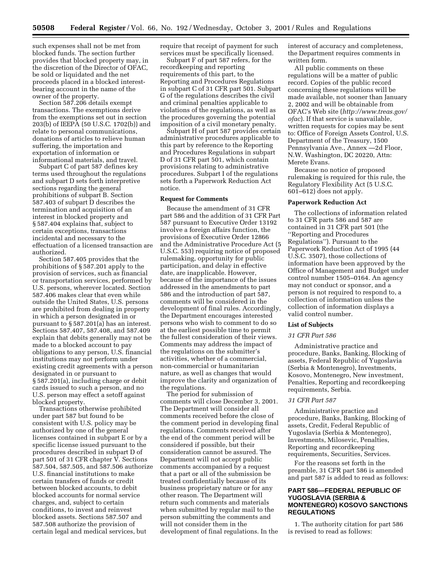such expenses shall not be met from blocked funds. The section further provides that blocked property may, in the discretion of the Director of OFAC, be sold or liquidated and the net proceeds placed in a blocked interestbearing account in the name of the owner of the property.

Section 587.206 details exempt transactions. The exemptions derive from the exemptions set out in section 203(b) of IEEPA (50 U.S.C. 1702(b)) and relate to personal communications, donations of articles to relieve human suffering, the importation and exportation of information or informational materials, and travel.

Subpart C of part 587 defines key terms used throughout the regulations and subpart D sets forth interpretive sections regarding the general prohibitions of subpart B. Section 587.403 of subpart D describes the termination and acquisition of an interest in blocked property and § 587.404 explains that, subject to certain exceptions, transactions incidental and necessary to the effectuation of a licensed transaction are authorized.

Section 587.405 provides that the prohibitions of § 587.201 apply to the provision of services, such as financial or transportation services, performed by U.S. persons, wherever located. Section 587.406 makes clear that even while outside the United States, U.S. persons are prohibited from dealing in property in which a person designated in or pursuant to § 587.201(a) has an interest. Sections 587.407, 587.408, and 587.409 explain that debits generally may not be made to a blocked account to pay obligations to any person, U.S. financial institutions may not perform under existing credit agreements with a person designated in or pursuant to § 587.201(a), including charge or debit cards issued to such a person, and no U.S. person may effect a setoff against blocked property.

Transactions otherwise prohibited under part 587 but found to be consistent with U.S. policy may be authorized by one of the general licenses contained in subpart E or by a specific license issued pursuant to the procedures described in subpart D of part 501 of 31 CFR chapter V. Sections 587.504, 587.505, and 587.506 authorize U.S. financial institutions to make certain transfers of funds or credit between blocked accounts, to debit blocked accounts for normal service charges, and, subject to certain conditions, to invest and reinvest blocked assets. Sections 587.507 and 587.508 authorize the provision of certain legal and medical services, but

require that receipt of payment for such services must be specifically licensed.

Subpart F of part 587 refers, for the recordkeeping and reporting requirements of this part, to the Reporting and Procedures Regulations in subpart C of 31 CFR part 501. Subpart G of the regulations describes the civil and criminal penalties applicable to violations of the regulations, as well as the procedures governing the potential imposition of a civil monetary penalty.

Subpart H of part 587 provides certain administrative procedures applicable to this part by reference to the Reporting and Procedures Regulations in subpart D of 31 CFR part 501, which contain provisions relating to administrative procedures. Subpart I of the regulations sets forth a Paperwork Reduction Act notice.

#### **Request for Comments**

Because the amendment of 31 CFR part 586 and the addition of 31 CFR Part 587 pursuant to Executive Order 13192 involve a foreign affairs function, the provisions of Executive Order 12866 and the Administrative Procedure Act (5 U.S.C. 553) requiring notice of proposed rulemaking, opportunity for public participation, and delay in effective date, are inapplicable. However, because of the importance of the issues addressed in the amendments to part 586 and the introduction of part 587, comments will be considered in the development of final rules. Accordingly, the Department encourages interested persons who wish to comment to do so at the earliest possible time to permit the fullest consideration of their views. Comments may address the impact of the regulations on the submitter's activities, whether of a commercial, non-commercial or humanitarian nature, as well as changes that would improve the clarity and organization of the regulations.

The period for submission of comments will close December 3, 2001. The Department will consider all comments received before the close of the comment period in developing final regulations. Comments received after the end of the comment period will be considered if possible, but their consideration cannot be assured. The Department will not accept public comments accompanied by a request that a part or all of the submission be treated confidentially because of its business proprietary nature or for any other reason. The Department will return such comments and materials when submitted by regular mail to the person submitting the comments and will not consider them in the development of final regulations. In the

interest of accuracy and completeness, the Department requires comments in written form.

All public comments on these regulations will be a matter of public record. Copies of the public record concerning these regulations will be made available, not sooner than January 2, 2002 and will be obtainable from OFAC's Web site (*http://www.treas.gov/ ofac*). If that service is unavailable, written requests for copies may be sent to: Office of Foreign Assets Control, U.S. Department of the Treasury, 1500 Pennsylvania Ave., Annex —2d Floor, N.W. Washington, DC 20220, Attn: Merete Evans.

Because no notice of proposed rulemaking is required for this rule, the Regulatory Flexibility Act (5 U.S.C. 601–612) does not apply.

# **Paperwork Reduction Act**

The collections of information related to 31 CFR parts 586 and 587 are contained in 31 CFR part 501 (the ''Reporting and Procedures Regulations''). Pursuant to the Paperwork Reduction Act of 1995 (44 U.S.C. 3507), those collections of information have been approved by the Office of Management and Budget under control number 1505–0164. An agency may not conduct or sponsor, and a person is not required to respond to, a collection of information unless the collection of information displays a valid control number.

#### **List of Subjects**

# *31 CFR Part 586*

Administrative practice and procedure, Banks, Banking, Blocking of assets, Federal Republic of Yugoslavia (Serbia & Montenegro), Investments, Kosovo, Montenegro, New investment, Penalties, Reporting and recordkeeping requirements, Serbia.

#### *31 CFR Part 587*

Administrative practice and procedure, Banks, Banking, Blocking of assets, Credit, Federal Republic of Yugoslavia (Serbia & Montenegro), Investments, Milosevic, Penalties, Reporting and recordkeeping requirements, Securities, Services.

For the reasons set forth in the preamble, 31 CFR part 586 is amended and part 587 is added to read as follows:

# **PART 586—FEDERAL REPUBLIC OF YUGOSLAVIA (SERBIA & MONTENEGRO) KOSOVO SANCTIONS REGULATIONS**

1. The authority citation for part 586 is revised to read as follows: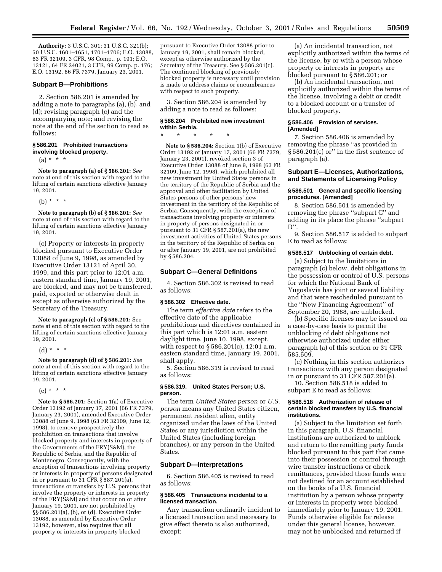**Authority:** 3 U.S.C. 301; 31 U.S.C. 321(b); 50 U.S.C. 1601–1651, 1701–1706; E.O. 13088, 63 FR 32109, 3 CFR, 98 Comp., p. 191; E.O. 13121, 64 FR 24021, 3 CFR, 99 Comp. p. 176; E.O. 13192, 66 FR 7379, January 23, 2001.

# **Subpart B—Prohibitions**

2. Section 586.201 is amended by adding a note to paragraphs (a), (b), and (d); revising paragraph (c) and the accompanying note; and revising the note at the end of the section to read as follows:

#### **§ 586.201 Prohibited transactions involving blocked property.**

 $(a) * * * *$ 

**Note to paragraph (a) of § 586.201:** *See* note at end of this section with regard to the lifting of certain sanctions effective January 19, 2001.

(b)  $* * * *$ 

**Note to paragraph (b) of § 586.201:** *See* note at end of this section with regard to the lifting of certain sanctions effective January 19, 2001.

(c) Property or interests in property blocked pursuant to Executive Order 13088 of June 9, 1998, as amended by Executive Order 13121 of April 30, 1999, and this part prior to 12:01 a.m. eastern standard time, January 19, 2001, are blocked, and may not be transferred, paid, exported or otherwise dealt in except as otherwise authorized by the Secretary of the Treasury.

**Note to paragraph (c) of § 586.201:** See note at end of this section with regard to the lifting of certain sanctions effective January 19, 2001.

(d) \* \* \*

**Note to paragraph (d) of § 586.201:** *See* note at end of this section with regard to the lifting of certain sanctions effective January 19, 2001.

(e) \* \* \*

**Note to § 586.201:** Section 1(a) of Executive Order 13192 of January 17, 2001 (66 FR 7379, January 23, 2001), amended Executive Order 13088 of June 9, 1998 (63 FR 32109, June 12, 1998), to remove prospectively the prohibition on transactions that involve blocked property and interests in property of the Governments of the FRY(S&M), the Republic of Serbia, and the Republic of Montenegro. Consequently, with the exception of transactions involving property or interests in property of persons designated in or pursuant to 31 CFR § 587.201(a), transactions or transfers by U.S. persons that involve the property or interests in property of the FRY(S&M) and that occur on or after January 19, 2001, are not prohibited by §§ 586.201(a), (b), or (d). Executive Order 13088, as amended by Executive Order 13192, however, also requires that all property or interests in property blocked

pursuant to Executive Order 13088 prior to January 19, 2001, shall remain blocked, except as otherwise authorized by the Secretary of the Treasury. See § 586.201(c). The continued blocking of previously blocked property is necessary until provision is made to address claims or encumbrances with respect to such property.

3. Section 586.204 is amended by adding a note to read as follows:

# **§ 586.204 Prohibited new investment within Serbia.**

\* \* \* \* \*

**Note to § 586.204:** Section 1(b) of Executive Order 13192 of January 17, 2001 (66 FR 7379, January 23, 2001), revoked section 3 of Executive Order 13088 of June 9, 1998 (63 FR 32109, June 12, 1998), which prohibited all new investment by United States persons in the territory of the Republic of Serbia and the approval and other facilitation by United States persons of other persons' new investment in the territory of the Republic of Serbia. Consequently, with the exception of transactions involving property or interests in property of persons designated in or pursuant to 31 CFR § 587.201(a), the new investment activities of United States persons in the territory of the Republic of Serbia on or after January 19, 2001, are not prohibited by § 586.204.

#### **Subpart C—General Definitions**

4. Section 586.302 is revised to read as follows:

#### **§ 586.302 Effective date.**

The term *effective date* refers to the effective date of the applicable prohibitions and directives contained in this part which is 12:01 a.m. eastern daylight time, June 10, 1998, except, with respect to § 586.201(c), 12:01 a.m. eastern standard time, January 19, 2001, shall apply.

5. Section 586.319 is revised to read as follows:

#### **§ 586.319. United States Person; U.S. person.**

The term *United States person* or *U.S. person* means any United States citizen, permanent resident alien, entity organized under the laws of the United States or any jurisdiction within the United States (including foreign branches), or any person in the United States.

#### **Subpart D—Interpretations**

6. Section 586.405 is revised to read as follows:

# **§ 586.405 Transactions incidental to a licensed transaction.**

Any transaction ordinarily incident to a licensed transaction and necessary to give effect thereto is also authorized, except:

(a) An incidental transaction, not explicitly authorized within the terms of the license, by or with a person whose property or interests in property are blocked pursuant to § 586.201; or

(b) An incidental transaction, not explicitly authorized within the terms of the license, involving a debit or credit to a blocked account or a transfer of blocked property.

# **§ 586.406 Provision of services. [Amended]**

7. Section 586.406 is amended by removing the phrase ''as provided in § 586.201(c) or'' in the first sentence of paragraph (a).

# **Subpart E—Licenses, Authorizations, and Statements of Licensing Policy**

#### **§ 586.501 General and specific licensing procedures. [Amended]**

8. Section 586.501 is amended by removing the phrase ''subpart C'' and adding in its place the phrase ''subpart  $D''$ .

9. Section 586.517 is added to subpart E to read as follows:

# **§ 586.517 Unblocking of certain debt.**

(a) Subject to the limitations in paragraph (c) below, debt obligations in the possession or control of U.S. persons for which the National Bank of Yugoslavia has joint or several liability and that were rescheduled pursuant to the ''New Financing Agreement'' of September 20, 1988, are unblocked.

(b) Specific licenses may be issued on a case-by-case basis to permit the unblocking of debt obligations not otherwise authorized under either paragraph (a) of this section or 31 CFR 585.509.

(c) Nothing in this section authorizes transactions with any person designated in or pursuant to 31 CFR 587.201(a).

10. Section 586.518 is added to subpart E to read as follows:

#### **§ 586.518 Authorization of release of certain blocked transfers by U.S. financial institutions.**

(a) Subject to the limitation set forth in this paragraph, U.S. financial institutions are authorized to unblock and return to the remitting party funds blocked pursuant to this part that came into their possession or control through wire transfer instructions or check remittances, provided those funds were not destined for an account established on the books of a U.S. financial institution by a person whose property or interests in property were blocked immediately prior to January 19, 2001. Funds otherwise eligible for release under this general license, however, may not be unblocked and returned if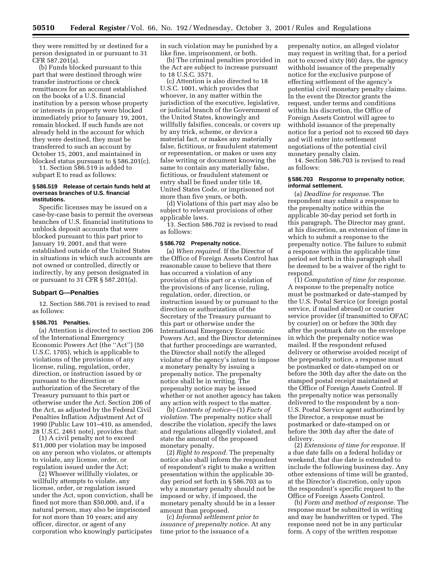they were remitted by or destined for a person designated in or pursuant to 31 CFR 587.201(a).

(b) Funds blocked pursuant to this part that were destined through wire transfer instructions or check remittances for an account established on the books of a U.S. financial institution by a person whose property or interests in property were blocked immediately prior to January 19, 2001, remain blocked. If such funds are not already held in the account for which they were destined, they must be transferred to such an account by October 15, 2001, and maintained in blocked status pursuant to § 586.201(c). 11. Section 586.519 is added to

subpart E to read as follows:

# **§ 586.519 Release of certain funds held at overseas branches of U.S. financial institutions.**

Specific licenses may be issued on a case-by-case basis to permit the overseas branches of U.S. financial institutions to unblock deposit accounts that were blocked pursuant to this part prior to January 19, 2001, and that were established outside of the United States in situations in which such accounts are not owned or controlled, directly or indirectly, by any person designated in or pursuant to 31 CFR § 587.201(a).

#### **Subpart G—Penalties**

12. Section 586.701 is revised to read as follows:

#### **§ 586.701 Penalties.**

(a) Attention is directed to section 206 of the International Emergency Economic Powers Act (the ''Act'') (50 U.S.C. 1705), which is applicable to violations of the provisions of any license, ruling, regulation, order, direction, or instruction issued by or pursuant to the direction or authorization of the Secretary of the Treasury pursuant to this part or otherwise under the Act. Section 206 of the Act, as adjusted by the Federal Civil Penalties Inflation Adjustment Act of 1990 (Public Law 101–410, as amended, 28 U.S.C. 2461 note), provides that:

(1) A civil penalty not to exceed \$11,000 per violation may be imposed on any person who violates, or attempts to violate, any license, order, or regulation issued under the Act;

(2) Whoever willfully violates, or willfully attempts to violate, any license, order, or regulation issued under the Act, upon conviction, shall be fined not more than \$50,000, and, if a natural person, may also be imprisoned for not more than 10 years; and any officer, director, or agent of any corporation who knowingly participates

in such violation may be punished by a like fine, imprisonment, or both.

(b) The criminal penalties provided in the Act are subject to increase pursuant to 18 U.S.C. 3571.

(c) Attention is also directed to 18 U.S.C. 1001, which provides that whoever, in any matter within the jurisdiction of the executive, legislative, or judicial branch of the Government of the United States, knowingly and willfully falsifies, conceals, or covers up by any trick, scheme, or device a material fact, or makes any materially false, fictitious, or fraudulent statement or representation, or makes or uses any false writing or document knowing the same to contain any materially false, fictitious, or fraudulent statement or entry shall be fined under title 18, United States Code, or imprisoned not more than five years, or both.

(d) Violations of this part may also be subject to relevant provisions of other applicable laws.

13. Section 586.702 is revised to read as follows:

#### **§ 586.702 Prepenalty notice.**

(a) *When required.* If the Director of the Office of Foreign Assets Control has reasonable cause to believe that there has occurred a violation of any provision of this part or a violation of the provisions of any license, ruling, regulation, order, direction, or instruction issued by or pursuant to the direction or authorization of the Secretary of the Treasury pursuant to this part or otherwise under the International Emergency Economic Powers Act, and the Director determines that further proceedings are warranted, the Director shall notify the alleged violator of the agency's intent to impose a monetary penalty by issuing a prepenalty notice. The prepenalty notice shall be in writing. The prepenalty notice may be issued whether or not another agency has taken any action with respect to the matter.

(b) *Contents of notice*—(1) *Facts of violation.* The prepenalty notice shall describe the violation, specify the laws and regulations allegedly violated, and state the amount of the proposed monetary penalty.

(2) *Right to respond.* The prepenalty notice also shall inform the respondent of respondent's right to make a written presentation within the applicable 30 day period set forth in § 586.703 as to why a monetary penalty should not be imposed or why, if imposed, the monetary penalty should be in a lesser amount than proposed.

(c) *Informal settlement prior to issuance of prepenalty notice.* At any time prior to the issuance of a

prepenalty notice, an alleged violator may request in writing that, for a period not to exceed sixty (60) days, the agency withhold issuance of the prepenalty notice for the exclusive purpose of effecting settlement of the agency's potential civil monetary penalty claims. In the event the Director grants the request, under terms and conditions within his discretion, the Office of Foreign Assets Control will agree to withhold issuance of the prepenalty notice for a period not to exceed 60 days and will enter into settlement negotiations of the potential civil monetary penalty claim.

14. Section 586.703 is revised to read as follows:

## **§ 586.703 Response to prepenalty notice; informal settlement.**

(a) *Deadline for response.* The respondent may submit a response to the prepenalty notice within the applicable 30-day period set forth in this paragraph. The Director may grant, at his discretion, an extension of time in which to submit a response to the prepenalty notice. The failure to submit a response within the applicable time period set forth in this paragraph shall be deemed to be a waiver of the right to respond.

(1) *Computation of time for response.* A response to the prepenalty notice must be postmarked or date-stamped by the U.S. Postal Service (or foreign postal service, if mailed abroad) or courier service provider (if transmitted to OFAC by courier) on or before the 30th day after the postmark date on the envelope in which the prepenalty notice was mailed. If the respondent refused delivery or otherwise avoided receipt of the prepenalty notice, a response must be postmarked or date-stamped on or before the 30th day after the date on the stamped postal receipt maintained at the Office of Foreign Assets Control. If the prepenalty notice was personally delivered to the respondent by a non-U.S. Postal Service agent authorized by the Director, a response must be postmarked or date-stamped on or before the 30th day after the date of delivery.

(2) *Extensions of time for response.* If a due date falls on a federal holiday or weekend, that due date is extended to include the following business day. Any other extensions of time will be granted, at the Director's discretion, only upon the respondent's specific request to the Office of Foreign Assets Control.

(b) *Form and method of response.* The response must be submitted in writing and may be handwritten or typed. The response need not be in any particular form. A copy of the written response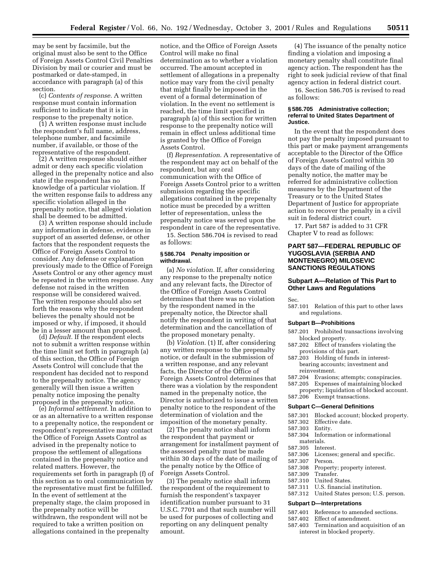may be sent by facsimile, but the original must also be sent to the Office of Foreign Assets Control Civil Penalties Division by mail or courier and must be postmarked or date-stamped, in accordance with paragraph (a) of this section.

(c) *Contents of response.* A written response must contain information sufficient to indicate that it is in response to the prepenalty notice.

(1) A written response must include the respondent's full name, address, telephone number, and facsimile number, if available, or those of the representative of the respondent.

(2) A written response should either admit or deny each specific violation alleged in the prepenalty notice and also state if the respondent has no knowledge of a particular violation. If the written response fails to address any specific violation alleged in the prepenalty notice, that alleged violation shall be deemed to be admitted.

(3) A written response should include any information in defense, evidence in support of an asserted defense, or other factors that the respondent requests the Office of Foreign Assets Control to consider. Any defense or explanation previously made to the Office of Foreign Assets Control or any other agency must be repeated in the written response. Any defense not raised in the written response will be considered waived. The written response should also set forth the reasons why the respondent believes the penalty should not be imposed or why, if imposed, it should be in a lesser amount than proposed.

(d) *Default.* If the respondent elects not to submit a written response within the time limit set forth in paragraph (a) of this section, the Office of Foreign Assets Control will conclude that the respondent has decided not to respond to the prepenalty notice. The agency generally will then issue a written penalty notice imposing the penalty proposed in the prepenalty notice.

(e) *Informal settlement.* In addition to or as an alternative to a written response to a prepenalty notice, the respondent or respondent's representative may contact the Office of Foreign Assets Control as advised in the prepenalty notice to propose the settlement of allegations contained in the prepenalty notice and related matters. However, the requirements set forth in paragraph (f) of this section as to oral communication by the representative must first be fulfilled. In the event of settlement at the prepenalty stage, the claim proposed in the prepenalty notice will be withdrawn, the respondent will not be required to take a written position on allegations contained in the prepenalty

notice, and the Office of Foreign Assets Control will make no final determination as to whether a violation occurred. The amount accepted in settlement of allegations in a prepenalty notice may vary from the civil penalty that might finally be imposed in the event of a formal determination of violation. In the event no settlement is reached, the time limit specified in paragraph (a) of this section for written response to the prepenalty notice will remain in effect unless additional time is granted by the Office of Foreign Assets Control.

(f) *Representation.* A representative of the respondent may act on behalf of the respondent, but any oral communication with the Office of Foreign Assets Control prior to a written submission regarding the specific allegations contained in the prepenalty notice must be preceded by a written letter of representation, unless the prepenalty notice was served upon the respondent in care of the representative.

15. Section 586.704 is revised to read as follows:

# **§ 586.704 Penalty imposition or withdrawal.**

(a) *No violation.* If, after considering any response to the prepenalty notice and any relevant facts, the Director of the Office of Foreign Assets Control determines that there was no violation by the respondent named in the prepenalty notice, the Director shall notify the respondent in writing of that determination and the cancellation of the proposed monetary penalty.

(b) *Violation.* (1) If, after considering any written response to the prepenalty notice, or default in the submission of a written response, and any relevant facts, the Director of the Office of Foreign Assets Control determines that there was a violation by the respondent named in the prepenalty notice, the Director is authorized to issue a written penalty notice to the respondent of the determination of violation and the imposition of the monetary penalty.

(2) The penalty notice shall inform the respondent that payment or arrangement for installment payment of the assessed penalty must be made within 30 days of the date of mailing of the penalty notice by the Office of Foreign Assets Control.

(3) The penalty notice shall inform the respondent of the requirement to furnish the respondent's taxpayer identification number pursuant to 31 U.S.C. 7701 and that such number will be used for purposes of collecting and reporting on any delinquent penalty amount.

(4) The issuance of the penalty notice finding a violation and imposing a monetary penalty shall constitute final agency action. The respondent has the right to seek judicial review of that final agency action in federal district court.

16. Section 586.705 is revised to read as follows:

#### **§ 586.705 Administrative collection; referral to United States Department of Justice.**

In the event that the respondent does not pay the penalty imposed pursuant to this part or make payment arrangements acceptable to the Director of the Office of Foreign Assets Control within 30 days of the date of mailing of the penalty notice, the matter may be referred for administrative collection measures by the Department of the Treasury or to the United States Department of Justice for appropriate action to recover the penalty in a civil suit in federal district court.

17. Part 587 is added to 31 CFR Chapter V to read as follows:

# **PART 587—FEDERAL REPUBLIC OF YUGOSLAVIA (SERBIA AND MONTENEGRO) MILOSEVIC SANCTIONS REGULATIONS**

# **Subpart A—Relation of This Part to Other Laws and Regulations**

Sec.

587.101 Relation of this part to other laws and regulations.

#### **Subpart B—Prohibitions**

- 587.201 Prohibited transactions involving blocked property.
- 587.202 Effect of transfers violating the provisions of this part.
- 587.203 Holding of funds in interestbearing accounts; investment and reinvestment.
- 587.204 Evasions; attempts; conspiracies.
- 587.205 Expenses of maintaining blocked
- property; liquidation of blocked account. 587.206 Exempt transactions.

#### **Subpart C—General Definitions**

- 587.301 Blocked account; blocked property.
- 587.302 Effective date.
- 587.303 Entity.
- 587.304 Information or informational
- materials.<br>.305 Interest. 587.305
- 587.306 Licenses; general and specific.
- 587.307 Person.
	- Property; property interest.
	-
- 587.309 Transfer. United States.
- 587.311 U.S. financial institution.
- 587.312 United States person; U.S. person.

#### **Subpart D—Interpretations**

- 587.401 Reference to amended sections.<br>587.402 Effect of amendment.
- 587.402 Effect of amendment.<br>587.403 Termination and acqu
- Termination and acquisition of an interest in blocked property.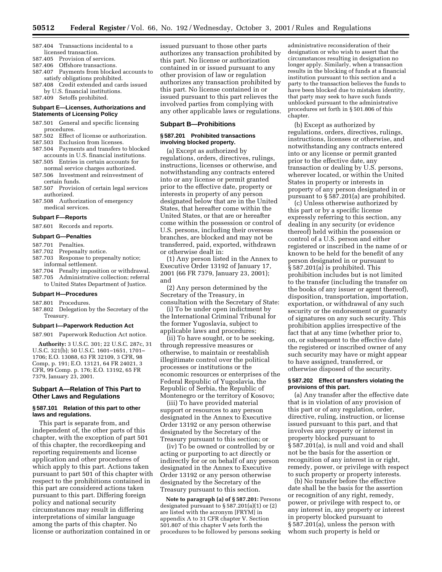- 587.404 Transactions incidental to a licensed transaction.
- 587.405 Provision of services.
- 587.406 Offshore transactions.
- 587.407 Payments from blocked accounts to satisfy obligations prohibited.
- 587.408 Credit extended and cards issued by U.S. financial institutions.
- 587.409 Setoffs prohibited.

#### **Subpart E—Licenses, Authorizations and Statements of Licensing Policy**

- 587.501 General and specific licensing procedures.
- 587.502 Effect of license or authorization.
- 587.503 Exclusion from licenses.
- 587.504 Payments and transfers to blocked accounts in U.S. financial institutions.
- 587.505 Entries in certain accounts for normal service charges authorized.
- 587.506 Investment and reinvestment of certain funds.
- 587.507 Provision of certain legal services authorized.
- 587.508 Authorization of emergency medical services.

# **Subpart F—Reports**

587.601 Records and reports.

# **Subpart G—Penalties**

# 587.701 Penalties.

- 587.702 Prepenalty notice.
- 587.703 Response to prepenalty notice;
- informal settlement.
- 587.704 Penalty imposition or withdrawal. 587.705 Administrative collection; referral to United States Department of Justice.

#### **Subpart H—Procedures**

- 587.801 Procedures.
- 587.802 Delegation by the Secretary of the Treasury.

# **Subpart I—Paperwork Reduction Act**

587.901 Paperwork Reduction Act notice.

**Authority:** 3 U.S.C. 301; 22 U.S.C. 287c, 31 U.S.C. 321(b); 50 U.S.C. 1601–1651, 1701– 1706; E.O. 13088, 63 FR 32109, 3 CFR, 98 Comp, p. 191; E.O. 13121, 64 FR 24021, 3 CFR, 99 Comp. p. 176; E.O. 13192, 65 FR 7379, January 23, 2001.

# **Subpart A—Relation of This Part to Other Laws and Regulations**

# **§ 587.101 Relation of this part to other laws and regulations.**

This part is separate from, and independent of, the other parts of this chapter, with the exception of part 501 of this chapter, the recordkeeping and reporting requirements and license application and other procedures of which apply to this part. Actions taken pursuant to part 501 of this chapter with respect to the prohibitions contained in this part are considered actions taken pursuant to this part. Differing foreign policy and national security circumstances may result in differing interpretations of similar language among the parts of this chapter. No license or authorization contained in or

issued pursuant to those other parts authorizes any transaction prohibited by this part. No license or authorization contained in or issued pursuant to any other provision of law or regulation authorizes any transaction prohibited by this part. No license contained in or issued pursuant to this part relieves the involved parties from complying with any other applicable laws or regulations.

#### **Subpart B—Prohibitions**

# **§ 587.201 Prohibited transactions involving blocked property.**

(a) Except as authorized by regulations, orders, directives, rulings, instructions, licenses or otherwise, and notwithstanding any contracts entered into or any license or permit granted prior to the effective date, property or interests in property of any person designated below that are in the United States, that hereafter come within the United States, or that are or hereafter come within the possession or control of U.S. persons, including their overseas branches, are blocked and may not be transferred, paid, exported, withdrawn or otherwise dealt in:

(1) Any person listed in the Annex to Executive Order 13192 of January 17, 2001 (66 FR 7379, January 23, 2001); and

(2) Any person determined by the Secretary of the Treasury, in consultation with the Secretary of State:

(i) To be under open indictment by the International Criminal Tribunal for the former Yugoslavia, subject to applicable laws and procedures;

(ii) To have sought, or to be seeking, through repressive measures or otherwise, to maintain or reestablish illegitimate control over the political processes or institutions or the economic resources or enterprises of the Federal Republic of Yugoslavia, the Republic of Serbia, the Republic of Montenegro or the territory of Kosovo;

(iii) To have provided material support or resources to any person designated in the Annex to Executive Order 13192 or any person otherwise designated by the Secretary of the Treasury pursuant to this section; or

(iv) To be owned or controlled by or acting or purporting to act directly or indirectly for or on behalf of any person designated in the Annex to Executive Order 13192 or any person otherwise designated by the Secretary of the Treasury pursuant to this section.

**Note to paragraph (a) of § 587.201:** Persons designated pursuant to § 587.201(a)(1) or (2) are listed with the acronym [FRYM] in appendix A to 31 CFR chapter V. Section 501.807 of this chapter V sets forth the procedures to be followed by persons seeking

administrative reconsideration of their designation or who wish to assert that the circumstances resulting in designation no longer apply. Similarly, when a transaction results in the blocking of funds at a financial institution pursuant to this section and a party to the transaction believes the funds to have been blocked due to mistaken identity, that party may seek to have such funds unblocked pursuant to the administrative procedures set forth in § 501.806 of this chapter.

(b) Except as authorized by regulations, orders, directives, rulings, instructions, licenses or otherwise, and notwithstanding any contracts entered into or any license or permit granted prior to the effective date, any transaction or dealing by U.S. persons, wherever located, or within the United States in property or interests in property of any person designated in or pursuant to § 587.201(a) are prohibited.

(c) Unless otherwise authorized by this part or by a specific license expressly referring to this section, any dealing in any security (or evidence thereof) held within the possession or control of a U.S. person and either registered or inscribed in the name of or known to be held for the benefit of any person designated in or pursuant to § 587.201(a) is prohibited. This prohibition includes but is not limited to the transfer (including the transfer on the books of any issuer or agent thereof), disposition, transportation, importation, exportation, or withdrawal of any such security or the endorsement or guaranty of signatures on any such security. This prohibition applies irrespective of the fact that at any time (whether prior to, on, or subsequent to the effective date) the registered or inscribed owner of any such security may have or might appear to have assigned, transferred, or otherwise disposed of the security.

# **§ 587.202 Effect of transfers violating the provisions of this part.**

(a) Any transfer after the effective date that is in violation of any provision of this part or of any regulation, order, directive, ruling, instruction, or license issued pursuant to this part, and that involves any property or interest in property blocked pursuant to § 587.201(a), is null and void and shall not be the basis for the assertion or recognition of any interest in or right, remedy, power, or privilege with respect to such property or property interests.

(b) No transfer before the effective date shall be the basis for the assertion or recognition of any right, remedy, power, or privilege with respect to, or any interest in, any property or interest in property blocked pursuant to § 587.201(a), unless the person with whom such property is held or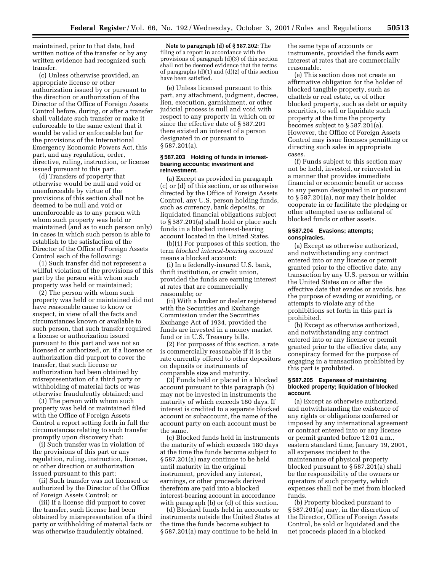maintained, prior to that date, had written notice of the transfer or by any written evidence had recognized such transfer.

(c) Unless otherwise provided, an appropriate license or other authorization issued by or pursuant to the direction or authorization of the Director of the Office of Foreign Assets Control before, during, or after a transfer shall validate such transfer or make it enforceable to the same extent that it would be valid or enforceable but for the provisions of the International Emergency Economic Powers Act, this part, and any regulation, order, directive, ruling, instruction, or license issued pursuant to this part.

(d) Transfers of property that otherwise would be null and void or unenforceable by virtue of the provisions of this section shall not be deemed to be null and void or unenforceable as to any person with whom such property was held or maintained (and as to such person only) in cases in which such person is able to establish to the satisfaction of the Director of the Office of Foreign Assets Control each of the following:

(1) Such transfer did not represent a willful violation of the provisions of this part by the person with whom such property was held or maintained;

(2) The person with whom such property was held or maintained did not have reasonable cause to know or suspect, in view of all the facts and circumstances known or available to such person, that such transfer required a license or authorization issued pursuant to this part and was not so licensed or authorized, or, if a license or authorization did purport to cover the transfer, that such license or authorization had been obtained by misrepresentation of a third party or withholding of material facts or was otherwise fraudulently obtained; and

(3) The person with whom such property was held or maintained filed with the Office of Foreign Assets Control a report setting forth in full the circumstances relating to such transfer promptly upon discovery that:

(i) Such transfer was in violation of the provisions of this part or any regulation, ruling, instruction, license, or other direction or authorization issued pursuant to this part;

(ii) Such transfer was not licensed or authorized by the Director of the Office of Foreign Assets Control; or

(iii) If a license did purport to cover the transfer, such license had been obtained by misrepresentation of a third party or withholding of material facts or was otherwise fraudulently obtained.

**Note to paragraph (d) of § 587.202:** The filing of a report in accordance with the provisions of paragraph (d)(3) of this section shall not be deemed evidence that the terms of paragraphs (d)(1) and (d)(2) of this section have been satisfied.

(e) Unless licensed pursuant to this part, any attachment, judgment, decree, lien, execution, garnishment, or other judicial process is null and void with respect to any property in which on or since the effective date of § 587.201 there existed an interest of a person designated in or pursuant to § 587.201(a).

#### **§ 587.203 Holding of funds in interestbearing accounts; investment and reinvestment.**

(a) Except as provided in paragraph (c) or (d) of this section, or as otherwise directed by the Office of Foreign Assets Control, any U.S. person holding funds, such as currency, bank deposits, or liquidated financial obligations subject to § 587.201(a) shall hold or place such funds in a blocked interest-bearing account located in the United States.

(b)(1) For purposes of this section, the term *blocked interest-bearing account* means a blocked account:

(i) In a federally-insured U.S. bank, thrift institution, or credit union, provided the funds are earning interest at rates that are commercially reasonable; or

(ii) With a broker or dealer registered with the Securities and Exchange Commission under the Securities Exchange Act of 1934, provided the funds are invested in a money market fund or in U.S. Treasury bills.

(2) For purposes of this section, a rate is commercially reasonable if it is the rate currently offered to other depositors on deposits or instruments of comparable size and maturity.

(3) Funds held or placed in a blocked account pursuant to this paragraph (b) may not be invested in instruments the maturity of which exceeds 180 days. If interest is credited to a separate blocked account or subaccount, the name of the account party on each account must be the same.

(c) Blocked funds held in instruments the maturity of which exceeds 180 days at the time the funds become subject to § 587.201(a) may continue to be held until maturity in the original instrument, provided any interest, earnings, or other proceeds derived therefrom are paid into a blocked interest-bearing account in accordance with paragraph (b) or (d) of this section.

(d) Blocked funds held in accounts or instruments outside the United States at the time the funds become subject to § 587.201(a) may continue to be held in

the same type of accounts or instruments, provided the funds earn interest at rates that are commercially reasonable.

(e) This section does not create an affirmative obligation for the holder of blocked tangible property, such as chattels or real estate, or of other blocked property, such as debt or equity securities, to sell or liquidate such property at the time the property becomes subject to § 587.201(a). However, the Office of Foreign Assets Control may issue licenses permitting or directing such sales in appropriate cases.

(f) Funds subject to this section may not be held, invested, or reinvested in a manner that provides immediate financial or economic benefit or access to any person designated in or pursuant to § 587.201(a), nor may their holder cooperate in or facilitate the pledging or other attempted use as collateral of blocked funds or other assets.

#### **§ 587.204 Evasions; attempts; conspiracies.**

(a) Except as otherwise authorized, and notwithstanding any contract entered into or any license or permit granted prior to the effective date, any transaction by any U.S. person or within the United States on or after the effective date that evades or avoids, has the purpose of evading or avoiding, or attempts to violate any of the prohibitions set forth in this part is prohibited.

(b) Except as otherwise authorized, and notwithstanding any contract entered into or any license or permit granted prior to the effective date, any conspiracy formed for the purpose of engaging in a transaction prohibited by this part is prohibited.

# **§ 587.205 Expenses of maintaining blocked property; liquidation of blocked account.**

(a) Except as otherwise authorized, and notwithstanding the existence of any rights or obligations conferred or imposed by any international agreement or contract entered into or any license or permit granted before 12:01 a.m., eastern standard time, January 19, 2001, all expenses incident to the maintenance of physical property blocked pursuant to § 587.201(a) shall be the responsibility of the owners or operators of such property, which expenses shall not be met from blocked funds.

(b) Property blocked pursuant to § 587.201(a) may, in the discretion of the Director, Office of Foreign Assets Control, be sold or liquidated and the net proceeds placed in a blocked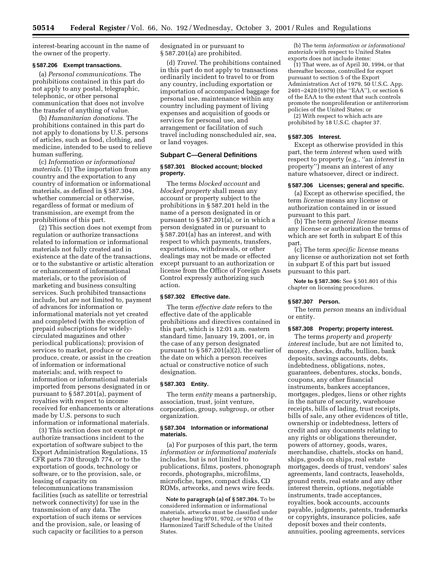interest-bearing account in the name of the owner of the property.

# **§ 587.206 Exempt transactions.**

(a) *Personal communications.* The prohibitions contained in this part do not apply to any postal, telegraphic, telephonic, or other personal communication that does not involve the transfer of anything of value.

(b) *Humanitarian donations.* The prohibitions contained in this part do not apply to donations by U.S. persons of articles, such as food, clothing, and medicine, intended to be used to relieve human suffering.

(c) *Information or informational materials.* (1) The importation from any country and the exportation to any country of information or informational materials, as defined in § 587.304, whether commercial or otherwise, regardless of format or medium of transmission, are exempt from the prohibitions of this part.

(2) This section does not exempt from regulation or authorize transactions related to information or informational materials not fully created and in existence at the date of the transactions, or to the substantive or artistic alteration or enhancement of informational materials, or to the provision of marketing and business consulting services. Such prohibited transactions include, but are not limited to, payment of advances for information or informational materials not yet created and completed (with the exception of prepaid subscriptions for widelycirculated magazines and other periodical publications); provision of services to market, produce or coproduce, create, or assist in the creation of information or informational materials; and, with respect to information or informational materials imported from persons designated in or pursuant to § 587.201(a), payment of royalties with respect to income received for enhancements or alterations made by U.S. persons to such information or informational materials.

(3) This section does not exempt or authorize transactions incident to the exportation of software subject to the Export Administration Regulations, 15 CFR parts 730 through 774, or to the exportation of goods, technology or software, or to the provision, sale, or leasing of capacity on telecommunications transmission facilities (such as satellite or terrestrial network connectivity) for use in the transmission of any data. The exportation of such items or services and the provision, sale, or leasing of such capacity or facilities to a person

designated in or pursuant to § 587.201(a) are prohibited.

(d) *Travel*. The prohibitions contained in this part do not apply to transactions ordinarily incident to travel to or from any country, including exportation or importation of accompanied baggage for personal use, maintenance within any country including payment of living expenses and acquisition of goods or services for personal use, and arrangement or facilitation of such travel including nonscheduled air, sea, or land voyages.

#### **Subpart C—General Definitions**

#### **§ 587.301 Blocked account; blocked property.**

The terms *blocked account* and *blocked property* shall mean any account or property subject to the prohibitions in § 587.201 held in the name of a person designated in or pursuant to § 587.201(a), or in which a person designated in or pursuant to § 587.201(a) has an interest, and with respect to which payments, transfers, exportations, withdrawals, or other dealings may not be made or effected except pursuant to an authorization or license from the Office of Foreign Assets Control expressly authorizing such action.

# **§ 587.302 Effective date.**

The term *effective date* refers to the effective date of the applicable prohibitions and directives contained in this part, which is 12:01 a.m. eastern standard time, January 19, 2001, or, in the case of any person designated pursuant to § 587.201(a)(2), the earlier of the date on which a person receives actual or constructive notice of such designation.

# **§ 587.303 Entity.**

The term *entity* means a partnership, association, trust, joint venture, corporation, group, subgroup, or other organization.

# **§ 587.304 Information or informational materials.**

(a) For purposes of this part, the term *information or informational materials* includes, but is not limited to publications, films, posters, phonograph records, photographs, microfilms, microfiche, tapes, compact disks, CD ROMs, artworks, and news wire feeds.

**Note to paragraph (a) of § 587.304.** To be considered information or informational materials, artworks must be classified under chapter heading 9701, 9702, or 9703 of the Harmonized Tariff Schedule of the United States.

(b) The term *information or informational materials* with respect to United States exports does not include items:

 $(1)$  That were, as of April 30, 1994, or that thereafter become, controlled for export pursuant to section 5 of the Export Administration Act of 1979, 50 U.S.C. App. 2401–2420 (1979) (the ''EAA''), or section 6 of the EAA to the extent that such controls promote the nonproliferation or antiterrorism policies of the United States; or

(2) With respect to which acts are prohibited by 18 U.S.C. chapter 37.

#### **§ 587.305 Interest.**

Except as otherwise provided in this part, the term *interest* when used with respect to property (e.g., ''an *interest* in property'') means an interest of any nature whatsoever, direct or indirect.

#### **§ 587.306 Licenses; general and specific.**

(a) Except as otherwise specified, the term *license* means any license or authorization contained in or issued pursuant to this part.

(b) The term *general license* means any license or authorization the terms of which are set forth in subpart E of this part.

(c) The term *specific license* means any license or authorization not set forth in subpart E of this part but issued pursuant to this part.

**Note to § 587.306:** See § 501.801 of this chapter on licensing procedures.

#### **§ 587.307 Person.**

The term *person* means an individual or entity.

#### **§ 587.308 Property; property interest.**

The terms *property* and *property interest* include, but are not limited to, money, checks, drafts, bullion, bank deposits, savings accounts, debts, indebtedness, obligations, notes, guarantees, debentures, stocks, bonds, coupons, any other financial instruments, bankers acceptances, mortgages, pledges, liens or other rights in the nature of security, warehouse receipts, bills of lading, trust receipts, bills of sale, any other evidences of title, ownership or indebtedness, letters of credit and any documents relating to any rights or obligations thereunder, powers of attorney, goods, wares, merchandise, chattels, stocks on hand, ships, goods on ships, real estate mortgages, deeds of trust, vendors' sales agreements, land contracts, leaseholds, ground rents, real estate and any other interest therein, options, negotiable instruments, trade acceptances, royalties, book accounts, accounts payable, judgments, patents, trademarks or copyrights, insurance policies, safe deposit boxes and their contents, annuities, pooling agreements, services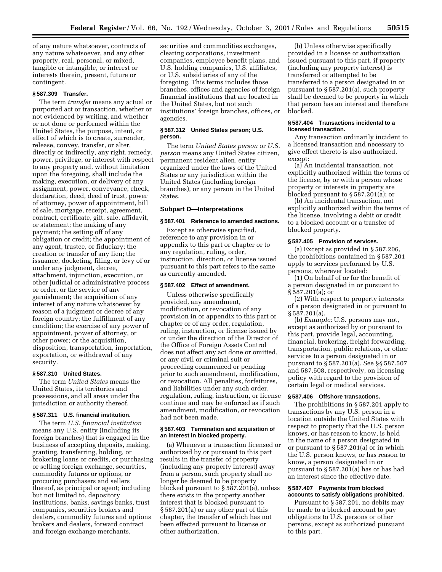of any nature whatsoever, contracts of any nature whatsoever, and any other property, real, personal, or mixed, tangible or intangible, or interest or interests therein, present, future or contingent.

# **§ 587.309 Transfer.**

The term *transfer* means any actual or purported act or transaction, whether or not evidenced by writing, and whether or not done or performed within the United States, the purpose, intent, or effect of which is to create, surrender, release, convey, transfer, or alter, directly or indirectly, any right, remedy, power, privilege, or interest with respect to any property and, without limitation upon the foregoing, shall include the making, execution, or delivery of any assignment, power, conveyance, check, declaration, deed, deed of trust, power of attorney, power of appointment, bill of sale, mortgage, receipt, agreement, contract, certificate, gift, sale, affidavit, or statement; the making of any payment; the setting off of any obligation or credit; the appointment of any agent, trustee, or fiduciary; the creation or transfer of any lien; the issuance, docketing, filing, or levy of or under any judgment, decree, attachment, injunction, execution, or other judicial or administrative process or order, or the service of any garnishment; the acquisition of any interest of any nature whatsoever by reason of a judgment or decree of any foreign country; the fulfillment of any condition; the exercise of any power of appointment, power of attorney, or other power; or the acquisition, disposition, transportation, importation, exportation, or withdrawal of any security.

# **§ 587.310 United States.**

The term *United States* means the United States, its territories and possessions, and all areas under the jurisdiction or authority thereof.

#### **§ 587.311 U.S. financial institution.**

The term *U.S. financial institution* means any U.S. entity (including its foreign branches) that is engaged in the business of accepting deposits, making, granting, transferring, holding, or brokering loans or credits, or purchasing or selling foreign exchange, securities, commodity futures or options, or procuring purchasers and sellers thereof, as principal or agent; including but not limited to, depository institutions, banks, savings banks, trust companies, securities brokers and dealers, commodity futures and options brokers and dealers, forward contract and foreign exchange merchants,

securities and commodities exchanges, clearing corporations, investment companies, employee benefit plans, and U.S. holding companies, U.S. affiliates, or U.S. subsidiaries of any of the foregoing. This terms includes those branches, offices and agencies of foreign financial institutions that are located in the United States, but not such institutions' foreign branches, offices, or agencies.

# **§ 587.312 United States person; U.S. person.**

The term *United States person* or *U.S. person* means any United States citizen, permanent resident alien, entity organized under the laws of the United States or any jurisdiction within the United States (including foreign branches), or any person in the United States.

# **Subpart D—Interpretations**

#### **§ 587.401 Reference to amended sections.**

Except as otherwise specified, reference to any provision in or appendix to this part or chapter or to any regulation, ruling, order, instruction, direction, or license issued pursuant to this part refers to the same as currently amended.

#### **§ 587.402 Effect of amendment.**

Unless otherwise specifically provided, any amendment, modification, or revocation of any provision in or appendix to this part or chapter or of any order, regulation, ruling, instruction, or license issued by or under the direction of the Director of the Office of Foreign Assets Control does not affect any act done or omitted, or any civil or criminal suit or proceeding commenced or pending prior to such amendment, modification, or revocation. All penalties, forfeitures, and liabilities under any such order, regulation, ruling, instruction, or license continue and may be enforced as if such amendment, modification, or revocation had not been made.

#### **§ 587.403 Termination and acquisition of an interest in blocked property.**

(a) Whenever a transaction licensed or authorized by or pursuant to this part results in the transfer of property (including any property interest) away from a person, such property shall no longer be deemed to be property blocked pursuant to § 587.201(a), unless there exists in the property another interest that is blocked pursuant to § 587.201(a) or any other part of this chapter, the transfer of which has not been effected pursuant to license or other authorization.

(b) Unless otherwise specifically provided in a license or authorization issued pursuant to this part, if property (including any property interest) is transferred or attempted to be transferred to a person designated in or pursuant to § 587.201(a), such property shall be deemed to be property in which that person has an interest and therefore blocked.

# **§ 587.404 Transactions incidental to a licensed transaction.**

Any transaction ordinarily incident to a licensed transaction and necessary to give effect thereto is also authorized, except:

(a) An incidental transaction, not explicitly authorized within the terms of the license, by or with a person whose property or interests in property are blocked pursuant to § 587.201(a); or

(b) An incidental transaction, not explicitly authorized within the terms of the license, involving a debit or credit to a blocked account or a transfer of blocked property.

# **§ 587.405 Provision of services.**

(a) Except as provided in § 587.206, the prohibitions contained in § 587.201 apply to services performed by U.S. persons, wherever located:

(1) On behalf of or for the benefit of a person designated in or pursuant to § 587.201(a); or

(2) With respect to property interests of a person designated in or pursuant to § 587.201(a).

(b) *Example:* U.S. persons may not, except as authorized by or pursuant to this part, provide legal, accounting, financial, brokering, freight forwarding, transportation, public relations, or other services to a person designated in or pursuant to § 587.201(a). See §§ 587.507 and 587.508, respectively, on licensing policy with regard to the provision of certain legal or medical services.

#### **§ 587.406 Offshore transactions.**

The prohibitions in § 587.201 apply to transactions by any U.S. person in a location outside the United States with respect to property that the U.S. person knows, or has reason to know, is held in the name of a person designated in or pursuant to § 587.201(a) or in which the U.S. person knows, or has reason to know, a person designated in or pursuant to § 587.201(a) has or has had an interest since the effective date.

#### **§ 587.407 Payments from blocked accounts to satisfy obligations prohibited.**

Pursuant to § 587.201, no debits may be made to a blocked account to pay obligations to U.S. persons or other persons, except as authorized pursuant to this part.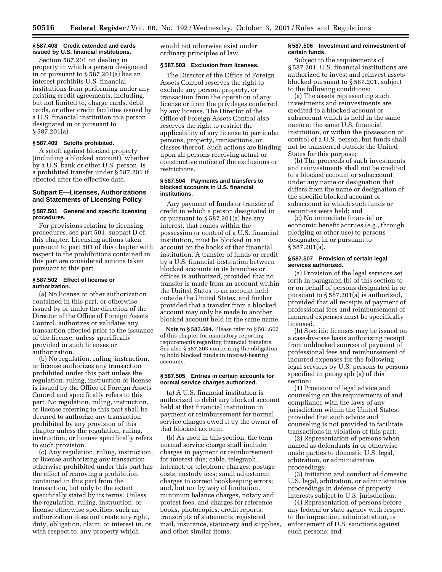#### **§ 587.408 Credit extended and cards issued by U.S. financial institutions.**

Section 587.201 on dealing in property in which a person designated in or pursuant to  $\S 587.201(a)$  has an interest prohibits U.S. financial institutions from performing under any existing credit agreements, including, but not limited to, charge cards, debit cards, or other credit facilities issued by a U.S. financial institution to a person designated in or pursuant to § 587.201(a).

# **§ 587.409 Setoffs prohibited.**

A setoff against blocked property (including a blocked account), whether by a U.S. bank or other U.S. person, is a prohibited transfer under § 587.201 if effected after the effective date.

# **Subpart E—Licenses, Authorizations and Statements of Licensing Policy**

# **§ 587.501 General and specific licensing procedures.**

For provisions relating to licensing procedures, see part 501, subpart D of this chapter. Licensing actions taken pursuant to part 501 of this chapter with respect to the prohibitions contained in this part are considered actions taken pursuant to this part.

#### **§ 587.502 Effect of license or authorization.**

(a) No license or other authorization contained in this part, or otherwise issued by or under the direction of the Director of the Office of Foreign Assets Control, authorizes or validates any transaction effected prior to the issuance of the license, unless specifically provided in such licenses or authorization.

(b) No regulation, ruling, instruction, or license authorizes any transaction prohibited under this part unless the regulation, ruling, instruction or license is issued by the Office of Foreign Assets Control and specifically refers to this part. No regulation, ruling, instruction, or license referring to this part shall be deemed to authorize any transaction prohibited by any provision of this chapter unless the regulation, ruling, instruction, or license specifically refers to such provision.

(c) Any regulation, ruling, instruction, or license authorizing any transaction otherwise prohibited under this part has the effect of removing a prohibition contained in this part from the transaction, but only to the extent specifically stated by its terms. Unless the regulation, ruling, instruction, or license otherwise specifies, such an authorization does not create any right, duty, obligation, claim, or interest in, or with respect to, any property which

would not otherwise exist under ordinary principles of law.

# **§ 587.503 Exclusion from licenses.**

The Director of the Office of Foreign Assets Control reserves the right to exclude any person, property, or transaction from the operation of any license or from the privileges conferred by any license. The Director of the Office of Foreign Assets Control also reserves the right to restrict the applicability of any license to particular persons, property, transactions, or classes thereof. Such actions are binding upon all persons receiving actual or constructive notice of the exclusions or restrictions.

#### **§ 587.504 Payments and transfers to blocked accounts in U.S. financial institutions.**

Any payment of funds or transfer of credit in which a person designated in or pursuant to § 587.201(a) has any interest, that comes within the possession or control of a U.S. financial institution, must be blocked in an account on the books of that financial institution. A transfer of funds or credit by a U.S. financial institution between blocked accounts in its branches or offices is authorized, provided that no transfer is made from an account within the United States to an account held outside the United States, and further provided that a transfer from a blocked account may only be made to another blocked account held in the same name.

**Note to § 587.504.** Please refer to § 501.603 of this chapter for mandatory reporting requirements regarding financial transfers. See also § 587.203 concerning the obligation to hold blocked funds in interest-bearing accounts.

## **§ 587.505 Entries in certain accounts for normal service charges authorized.**

(a) A U.S. financial institution is authorized to debit any blocked account held at that financial institution in payment or reimbursement for normal service charges owed it by the owner of that blocked account.

(b) As used in this section, the term normal service charge shall include charges in payment or reimbursement for interest due; cable, telegraph, internet, or telephone charges; postage costs; custody fees; small adjustment charges to correct bookkeeping errors; and, but not by way of limitation, minimum balance charges, notary and protest fees, and charges for reference books, photocopies, credit reports, transcripts of statements, registered mail, insurance, stationery and supplies, and other similar items.

#### **§ 587.506 Investment and reinvestment of certain funds.**

Subject to the requirements of § 587.201, U.S. financial institutions are authorized to invest and reinvest assets blocked pursuant to § 587.201, subject to the following conditions:

(a) The assets representing such investments and reinvestments are credited to a blocked account or subaccount which is held in the same name at the same U.S. financial institution, or within the possession or control of a U.S. person, but funds shall not be transferred outside the United States for this purpose;

(b) The proceeds of such investments and reinvestments shall not be credited to a blocked account or subaccount under any name or designation that differs from the name or designation of the specific blocked account or subaccount in which such funds or securities were held; and

(c) No immediate financial or economic benefit accrues (e.g., through pledging or other use) to persons designated in or pursuant to § 587.201(a).

# **§ 587.507 Provision of certain legal services authorized.**

(a) Provision of the legal services set forth in paragraph (b) of this section to or on behalf of persons designated in or pursuant to § 587.201(a) is authorized, provided that all receipts of payment of professional fees and reimbursement of incurred expenses must be specifically licensed.

(b) Specific licenses may be issued on a case-by-case basis authorizing receipt from unblocked sources of payment of professional fees and reimbursement of incurred expenses for the following legal services by U.S. persons to persons specified in paragraph (a) of this section:

(1) Provision of legal advice and counseling on the requirements of and compliance with the laws of any jurisdiction within the United States, provided that such advice and counseling is not provided to facilitate transactions in violation of this part;

(2) Representation of persons when named as defendants in or otherwise made parties to domestic U.S. legal, arbitration, or administrative proceedings;

(3) Initiation and conduct of domestic U.S. legal, arbitration, or administrative proceedings in defense of property interests subject to U.S. jurisdiction;

(4) Representation of persons before any federal or state agency with respect to the imposition, administration, or enforcement of U.S. sanctions against such persons; and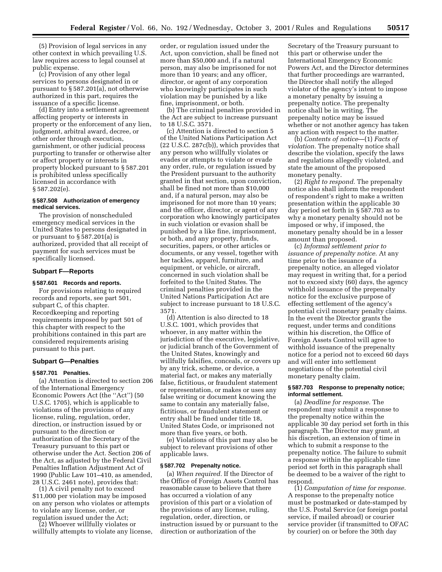(5) Provision of legal services in any other context in which prevailing U.S. law requires access to legal counsel at public expense.

(c) Provision of any other legal services to persons designated in or pursuant to § 587.201(a), not otherwise authorized in this part, requires the issuance of a specific license.

(d) Entry into a settlement agreement affecting property or interests in property or the enforcement of any lien, judgment, arbitral award, decree, or other order through execution, garnishment, or other judicial process purporting to transfer or otherwise alter or affect property or interests in property blocked pursuant to § 587.201 is prohibited unless specifically licensed in accordance with § 587.202(e).

# **§ 587.508 Authorization of emergency medical services.**

The provision of nonscheduled emergency medical services in the United States to persons designated in or pursuant to § 587.201(a) is authorized, provided that all receipt of payment for such services must be specifically licensed.

#### **Subpart F—Reports**

#### **§ 587.601 Records and reports.**

For provisions relating to required records and reports, see part 501, subpart C, of this chapter. Recordkeeping and reporting requirements imposed by part 501 of this chapter with respect to the prohibitions contained in this part are considered requirements arising pursuant to this part.

# **Subpart G—Penalties**

#### **§ 587.701 Penalties.**

(a) Attention is directed to section 206 of the International Emergency Economic Powers Act (the ''Act'') (50 U.S.C. 1705), which is applicable to violations of the provisions of any license, ruling, regulation, order, direction, or instruction issued by or pursuant to the direction or authorization of the Secretary of the Treasury pursuant to this part or otherwise under the Act. Section 206 of the Act, as adjusted by the Federal Civil Penalties Inflation Adjustment Act of 1990 (Public Law 101–410, as amended, 28 U.S.C. 2461 note), provides that:

(1) A civil penalty not to exceed \$11,000 per violation may be imposed on any person who violates or attempts to violate any license, order, or regulation issued under the Act;

(2) Whoever willfully violates or willfully attempts to violate any license, order, or regulation issued under the Act, upon conviction, shall be fined not more than \$50,000 and, if a natural person, may also be imprisoned for not more than 10 years; and any officer, director, or agent of any corporation who knowingly participates in such violation may be punished by a like fine, imprisonment, or both.

(b) The criminal penalties provided in the Act are subject to increase pursuant to 18 U.S.C. 3571.

(c) Attention is directed to section 5 of the United Nations Participation Act (22 U.S.C. 287c(b)), which provides that any person who willfully violates or evades or attempts to violate or evade any order, rule, or regulation issued by the President pursuant to the authority granted in that section, upon conviction, shall be fined not more than \$10,000 and, if a natural person, may also be imprisoned for not more than 10 years; and the officer, director, or agent of any corporation who knowingly participates in such violation or evasion shall be punished by a like fine, imprisonment, or both, and any property, funds, securities, papers, or other articles or documents, or any vessel, together with her tackles, apparel, furniture, and equipment, or vehicle, or aircraft, concerned in such violation shall be forfeited to the United States. The criminal penalties provided in the United Nations Participation Act are subject to increase pursuant to 18 U.S.C. 3571.

(d) Attention is also directed to 18 U.S.C. 1001, which provides that whoever, in any matter within the jurisdiction of the executive, legislative, or judicial branch of the Government of the United States, knowingly and willfully falsifies, conceals, or covers up by any trick, scheme, or device, a material fact, or makes any materially false, fictitious, or fraudulent statement or representation, or makes or uses any false writing or document knowing the same to contain any materially false, fictitious, or fraudulent statement or entry shall be fined under title 18, United States Code, or imprisoned not more than five years, or both.

(e) Violations of this part may also be subject to relevant provisions of other applicable laws.

#### **§ 587.702 Prepenalty notice.**

(a) *When required.* If the Director of the Office of Foreign Assets Control has reasonable cause to believe that there has occurred a violation of any provision of this part or a violation of the provisions of any license, ruling, regulation, order, direction, or instruction issued by or pursuant to the direction or authorization of the

Secretary of the Treasury pursuant to this part or otherwise under the International Emergency Economic Powers Act, and the Director determines that further proceedings are warranted, the Director shall notify the alleged violator of the agency's intent to impose a monetary penalty by issuing a prepenalty notice. The prepenalty notice shall be in writing. The prepenalty notice may be issued whether or not another agency has taken any action with respect to the matter.

(b) *Contents of notice*—(1) *Facts of violation.* The prepenalty notice shall describe the violation, specify the laws and regulations allegedly violated, and state the amount of the proposed monetary penalty.

(2) *Right to respond.* The prepenalty notice also shall inform the respondent of respondent's right to make a written presentation within the applicable 30 day period set forth in § 587.703 as to why a monetary penalty should not be imposed or why, if imposed, the monetary penalty should be in a lesser amount than proposed.

(c) *Informal settlement prior to issuance of prepenalty notice.* At any time prior to the issuance of a prepenalty notice, an alleged violator may request in writing that, for a period not to exceed sixty (60) days, the agency withhold issuance of the prepenalty notice for the exclusive purpose of effecting settlement of the agency's potential civil monetary penalty claims. In the event the Director grants the request, under terms and conditions within his discretion, the Office of Foreign Assets Control will agree to withhold issuance of the prepenalty notice for a period not to exceed 60 days and will enter into settlement negotiations of the potential civil monetary penalty claim.

# **§ 587.703 Response to prepenalty notice; informal settlement.**

(a) *Deadline for response.* The respondent may submit a response to the prepenalty notice within the applicable 30 day period set forth in this paragraph. The Director may grant, at his discretion, an extension of time in which to submit a response to the prepenalty notice. The failure to submit a response within the applicable time period set forth in this paragraph shall be deemed to be a waiver of the right to respond.

(1) *Computation of time for response.* A response to the prepenalty notice must be postmarked or date-stamped by the U.S. Postal Service (or foreign postal service, if mailed abroad) or courier service provider (if transmitted to OFAC by courier) on or before the 30th day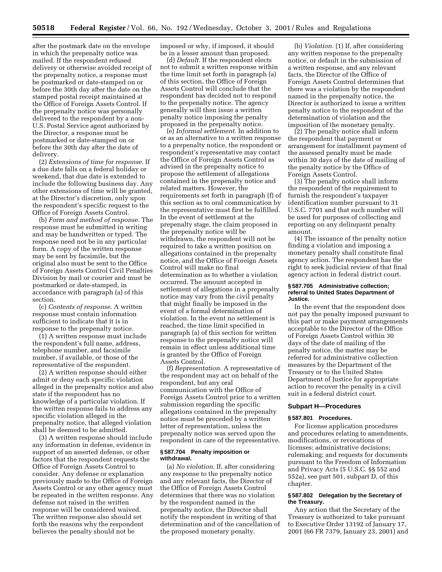after the postmark date on the envelope in which the prepenalty notice was mailed. If the respondent refused delivery or otherwise avoided receipt of the prepenalty notice, a response must be postmarked or date-stamped on or before the 30th day after the date on the stamped postal receipt maintained at the Office of Foreign Assets Control. If the prepenalty notice was personally delivered to the respondent by a non-U.S. Postal Service agent authorized by the Director, a response must be postmarked or date-stamped on or before the 30th day after the date of delivery.

(2) *Extensions of time for response.* If a due date falls on a federal holiday or weekend, that due date is extended to include the following business day. Any other extensions of time will be granted, at the Director's discretion, only upon the respondent's specific request to the Office of Foreign Assets Control.

(b) *Form and method of response.* The response must be submitted in writing and may be handwritten or typed. The response need not be in any particular form. A copy of the written response may be sent by facsimile, but the original also must be sent to the Office of Foreign Assets Control Civil Penalties Division by mail or courier and must be postmarked or date-stamped, in accordance with paragraph (a) of this section.

(c) *Contents of response.* A written response must contain information sufficient to indicate that it is in response to the prepenalty notice.

(1) A written response must include the respondent's full name, address, telephone number, and facsimile number, if available, or those of the representative of the respondent.

(2) A written response should either admit or deny each specific violation alleged in the prepenalty notice and also state if the respondent has no knowledge of a particular violation. If the written response fails to address any specific violation alleged in the prepenalty notice, that alleged violation shall be deemed to be admitted.

(3) A written response should include any information in defense, evidence in support of an asserted defense, or other factors that the respondent requests the Office of Foreign Assets Control to consider. Any defense or explanation previously made to the Office of Foreign Assets Control or any other agency must be repeated in the written response. Any defense not raised in the written response will be considered waived. The written response also should set forth the reasons why the respondent believes the penalty should not be

imposed or why, if imposed, it should be in a lesser amount than proposed.

(d) *Default.* If the respondent elects not to submit a written response within the time limit set forth in paragraph (a) of this section, the Office of Foreign Assets Control will conclude that the respondent has decided not to respond to the prepenalty notice. The agency generally will then issue a written penalty notice imposing the penalty proposed in the prepenalty notice.

(e) *Informal settlement.* In addition to or as an alternative to a written response to a prepenalty notice, the respondent or respondent's representative may contact the Office of Foreign Assets Control as advised in the prepenalty notice to propose the settlement of allegations contained in the prepenalty notice and related matters. However, the requirements set forth in paragraph (f) of this section as to oral communication by the representative must first be fulfilled. In the event of settlement at the prepenalty stage, the claim proposed in the prepenalty notice will be withdrawn, the respondent will not be required to take a written position on allegations contained in the prepenalty notice, and the Office of Foreign Assets Control will make no final determination as to whether a violation occurred. The amount accepted in settlement of allegations in a prepenalty notice may vary from the civil penalty that might finally be imposed in the event of a formal determination of violation. In the event no settlement is reached, the time limit specified in paragraph (a) of this section for written response to the prepenalty notice will remain in effect unless additional time is granted by the Office of Foreign Assets Control.

(f) *Representation.* A representative of the respondent may act on behalf of the respondent, but any oral communication with the Office of Foreign Assets Control prior to a written submission regarding the specific allegations contained in the prepenalty notice must be preceded by a written letter of representation, unless the prepenalty notice was served upon the respondent in care of the representative.

#### **§ 587.704 Penalty imposition or withdrawal.**

(a) *No violation.* If, after considering any response to the prepenalty notice and any relevant facts, the Director of the Office of Foreign Assets Control determines that there was no violation by the respondent named in the prepenalty notice, the Director shall notify the respondent in writing of that determination and of the cancellation of the proposed monetary penalty.

(b) *Violation.* (1) If, after considering any written response to the prepenalty notice, or default in the submission of a written response, and any relevant facts, the Director of the Office of Foreign Assets Control determines that there was a violation by the respondent named in the prepenalty notice, the Director is authorized to issue a written penalty notice to the respondent of the determination of violation and the imposition of the monetary penalty.

(2) The penalty notice shall inform the respondent that payment or arrangement for installment payment of the assessed penalty must be made within 30 days of the date of mailing of the penalty notice by the Office of Foreign Assets Control.

(3) The penalty notice shall inform the respondent of the requirement to furnish the respondent's taxpayer identification number pursuant to 31 U.S.C. 7701 and that such number will be used for purposes of collecting and reporting on any delinquent penalty amount.

(4) The issuance of the penalty notice finding a violation and imposing a monetary penalty shall constitute final agency action. The respondent has the right to seek judicial review of that final agency action in federal district court.

#### **§ 587.705 Administrative collection; referral to United States Department of Justice.**

In the event that the respondent does not pay the penalty imposed pursuant to this part or make payment arrangements acceptable to the Director of the Office of Foreign Assets Control within 30 days of the date of mailing of the penalty notice, the matter may be referred for administrative collection measures by the Department of the Treasury or to the United States Department of Justice for appropriate action to recover the penalty in a civil suit in a federal district court.

# **Subpart H—Procedures**

#### **§ 587.801 Procedures.**

For license application procedures and procedures relating to amendments, modifications, or revocations of licenses; administrative decisions; rulemaking; and requests for documents pursuant to the Freedom of Information and Privacy Acts (5 U.S.C. §§ 552 and 552a), see part 501, subpart D, of this chapter.

# **§ 587.802 Delegation by the Secretary of the Treasury.**

Any action that the Secretary of the Treasury is authorized to take pursuant to Executive Order 13192 of January 17, 2001 (66 FR 7379, January 23, 2001) and